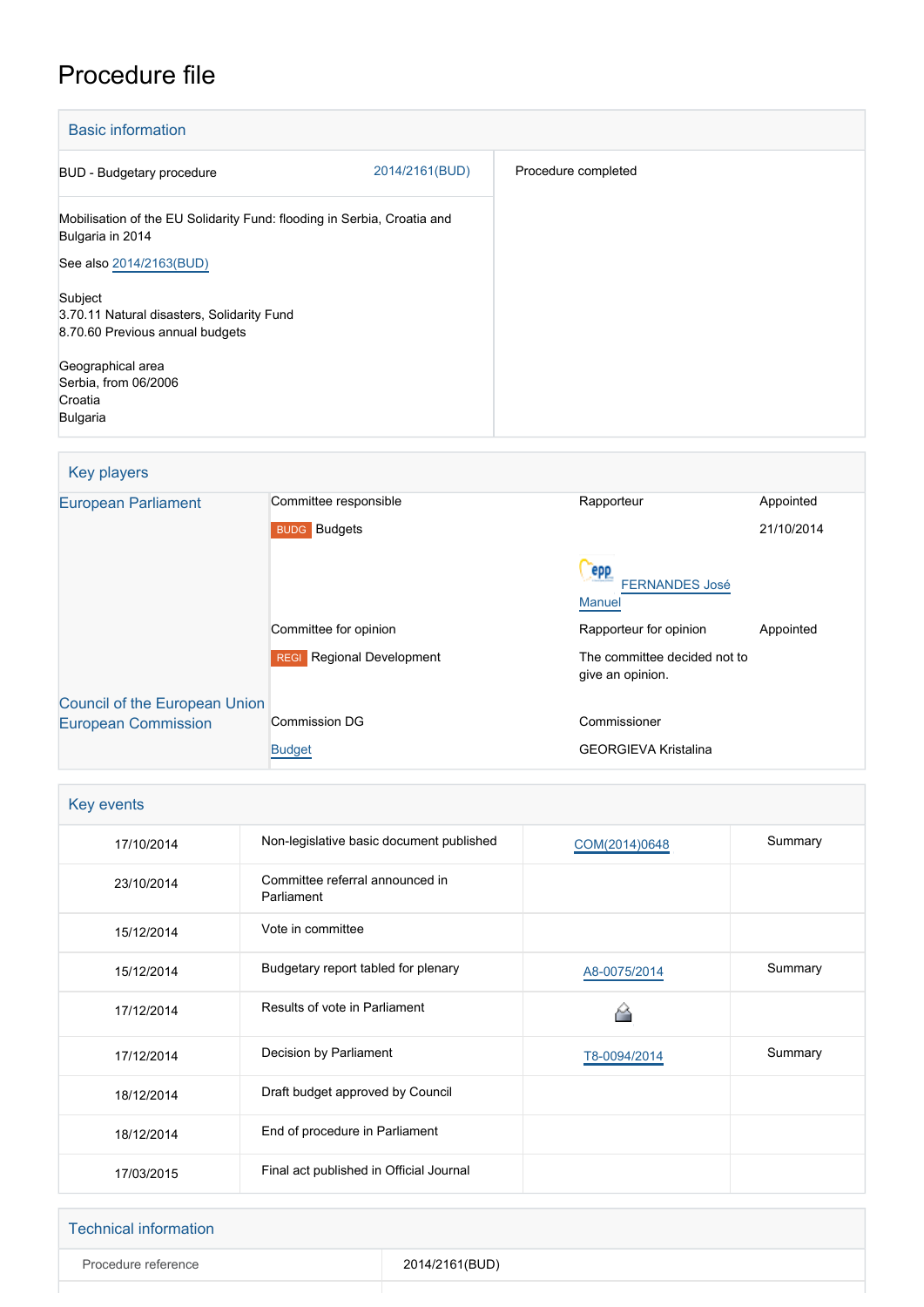# Procedure file

| <b>Basic information</b>                                                                    |                |                     |
|---------------------------------------------------------------------------------------------|----------------|---------------------|
| BUD - Budgetary procedure                                                                   | 2014/2161(BUD) | Procedure completed |
| Mobilisation of the EU Solidarity Fund: flooding in Serbia, Croatia and<br>Bulgaria in 2014 |                |                     |
| See also 2014/2163(BUD)                                                                     |                |                     |
| Subject<br>3.70.11 Natural disasters, Solidarity Fund<br>8.70.60 Previous annual budgets    |                |                     |
| Geographical area<br>Serbia, from 06/2006<br>Croatia<br>Bulgaria                            |                |                     |

### Key players

| <b>European Parliament</b>           | Committee responsible               | Rapporteur                                       | Appointed  |
|--------------------------------------|-------------------------------------|--------------------------------------------------|------------|
|                                      | <b>BUDG</b> Budgets                 |                                                  | 21/10/2014 |
|                                      |                                     | epp<br><b>FERNANDES José</b><br><b>Manuel</b>    |            |
|                                      | Committee for opinion               | Rapporteur for opinion                           | Appointed  |
|                                      | Regional Development<br><b>REGI</b> | The committee decided not to<br>give an opinion. |            |
| <b>Council of the European Union</b> |                                     |                                                  |            |
| <b>European Commission</b>           | <b>Commission DG</b>                | Commissioner                                     |            |
|                                      | <b>Budget</b>                       | <b>GEORGIEVA Kristalina</b>                      |            |

| Key events |                                               |               |         |  |
|------------|-----------------------------------------------|---------------|---------|--|
| 17/10/2014 | Non-legislative basic document published      | COM(2014)0648 | Summary |  |
| 23/10/2014 | Committee referral announced in<br>Parliament |               |         |  |
| 15/12/2014 | Vote in committee                             |               |         |  |
| 15/12/2014 | Budgetary report tabled for plenary           | A8-0075/2014  | Summary |  |
| 17/12/2014 | Results of vote in Parliament                 |               |         |  |
| 17/12/2014 | Decision by Parliament                        | T8-0094/2014  | Summary |  |
| 18/12/2014 | Draft budget approved by Council              |               |         |  |
| 18/12/2014 | End of procedure in Parliament                |               |         |  |
| 17/03/2015 | Final act published in Official Journal       |               |         |  |

### Technical information

Procedure reference 2014/2161(BUD)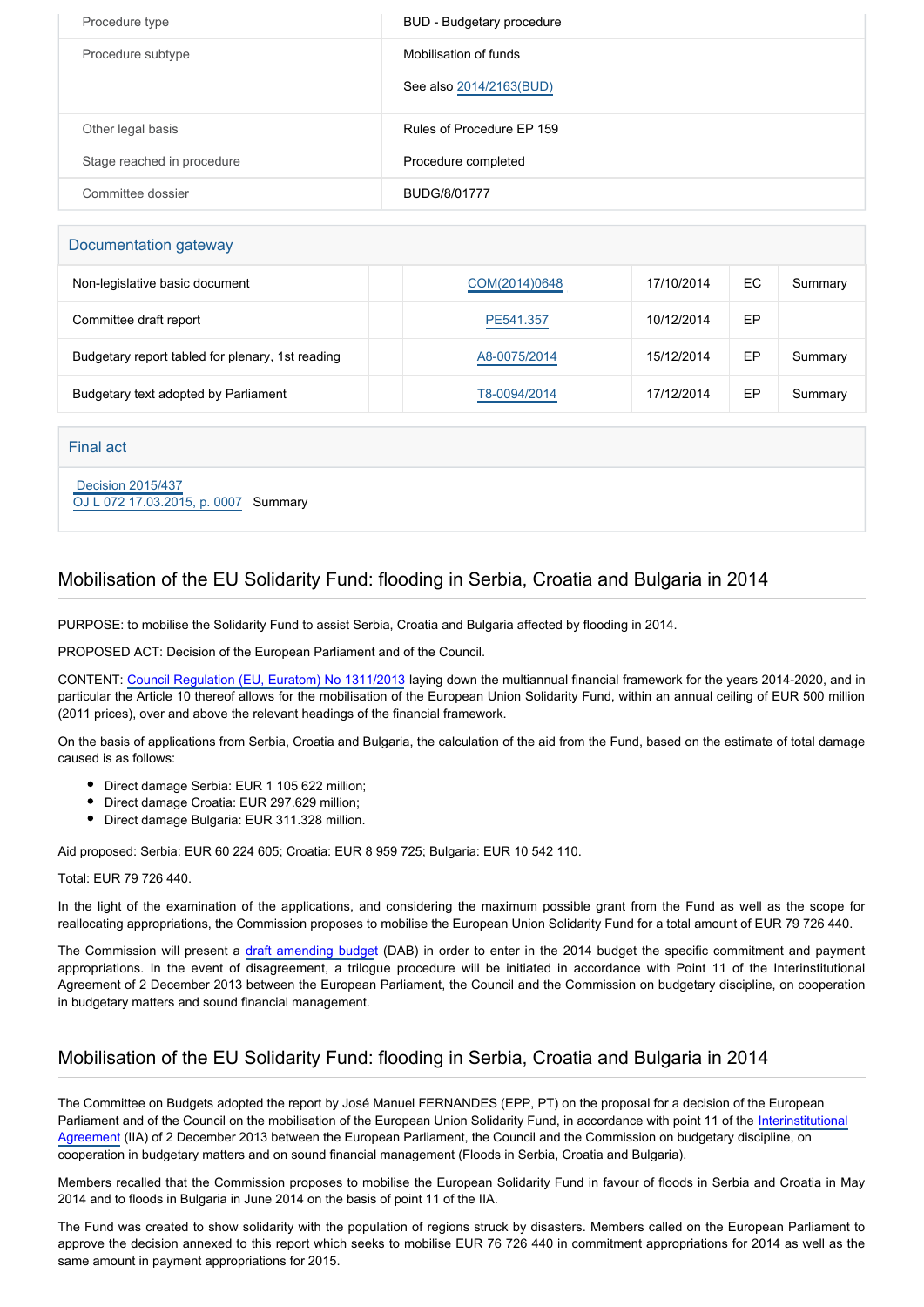| Procedure type             | BUD - Budgetary procedure |
|----------------------------|---------------------------|
| Procedure subtype          | Mobilisation of funds     |
|                            | See also 2014/2163(BUD)   |
| Other legal basis          | Rules of Procedure EP 159 |
| Stage reached in procedure | Procedure completed       |
| Committee dossier          | <b>BUDG/8/01777</b>       |

#### Documentation gateway

| Non-legislative basic document                   | COM(2014)0648 | 17/10/2014 | EC | Summary |
|--------------------------------------------------|---------------|------------|----|---------|
| Committee draft report                           | PE541.357     | 10/12/2014 | EP |         |
| Budgetary report tabled for plenary, 1st reading | A8-0075/2014  | 15/12/2014 | EP | Summary |
| Budgetary text adopted by Parliament             | T8-0094/2014  | 17/12/2014 | EP | Summary |

#### Final act

 [Decision 2015/437](https://eur-lex.europa.eu/smartapi/cgi/sga_doc?smartapi!celexplus!prod!CELEXnumdoc&lg=EN&numdoc=32015D0437) [OJ L 072 17.03.2015, p. 0007](https://eur-lex.europa.eu/legal-content/EN/TXT/?uri=OJ:L:2015:072:TOC) Summary

### Mobilisation of the EU Solidarity Fund: flooding in Serbia, Croatia and Bulgaria in 2014

PURPOSE: to mobilise the Solidarity Fund to assist Serbia, Croatia and Bulgaria affected by flooding in 2014.

PROPOSED ACT: Decision of the European Parliament and of the Council.

CONTENT: [Council Regulation \(EU, Euratom\) No 1311/2013](http://www.europarl.europa.eu/oeil/popups/ficheprocedure.do?lang=EN&reference=2011/0177(APP)) laying down the multiannual financial framework for the years 2014-2020, and in particular the Article 10 thereof allows for the mobilisation of the European Union Solidarity Fund, within an annual ceiling of EUR 500 million (2011 prices), over and above the relevant headings of the financial framework.

On the basis of applications from Serbia, Croatia and Bulgaria, the calculation of the aid from the Fund, based on the estimate of total damage caused is as follows:

- Direct damage Serbia: EUR 1 105 622 million;
- Direct damage Croatia: EUR 297.629 million;
- Direct damage Bulgaria: EUR 311.328 million.

Aid proposed: Serbia: EUR 60 224 605; Croatia: EUR 8 959 725; Bulgaria: EUR 10 542 110.

#### Total: EUR 79 726 440.

In the light of the examination of the applications, and considering the maximum possible grant from the Fund as well as the scope for reallocating appropriations, the Commission proposes to mobilise the European Union Solidarity Fund for a total amount of EUR 79 726 440.

The Commission will present a [draft amending budge](http://www.europarl.europa.eu/oeil/popups/ficheprocedure.do?lang=EN&reference=2014/2163(BUD))t (DAB) in order to enter in the 2014 budget the specific commitment and payment appropriations. In the event of disagreement, a trilogue procedure will be initiated in accordance with Point 11 of the Interinstitutional Agreement of 2 December 2013 between the European Parliament, the Council and the Commission on budgetary discipline, on cooperation in budgetary matters and sound financial management.

## Mobilisation of the EU Solidarity Fund: flooding in Serbia, Croatia and Bulgaria in 2014

The Committee on Budgets adopted the report by José Manuel FERNANDES (EPP, PT) on the proposal for a decision of the European Parliament and of the Council on the mobilisation of the European Union Solidarity Fund, in accordance with point 11 of the [Interinstitutional](http://www.europarl.europa.eu/oeil/popups/ficheprocedure.do?lang=EN&reference=2011/2152(ACI)) [Agreement](http://www.europarl.europa.eu/oeil/popups/ficheprocedure.do?lang=EN&reference=2011/2152(ACI)) (IIA) of 2 December 2013 between the European Parliament, the Council and the Commission on budgetary discipline, on cooperation in budgetary matters and on sound financial management (Floods in Serbia, Croatia and Bulgaria).

Members recalled that the Commission proposes to mobilise the European Solidarity Fund in favour of floods in Serbia and Croatia in May 2014 and to floods in Bulgaria in June 2014 on the basis of point 11 of the IIA.

The Fund was created to show solidarity with the population of regions struck by disasters. Members called on the European Parliament to approve the decision annexed to this report which seeks to mobilise EUR 76 726 440 in commitment appropriations for 2014 as well as the same amount in payment appropriations for 2015.